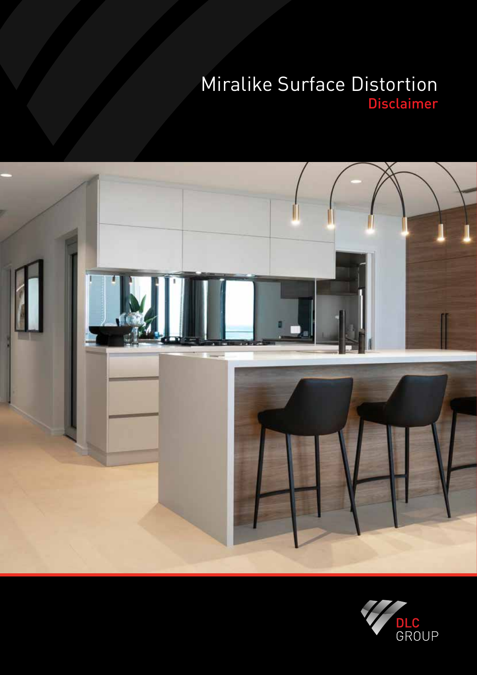# Miralike Surface Distortion Disclaimer